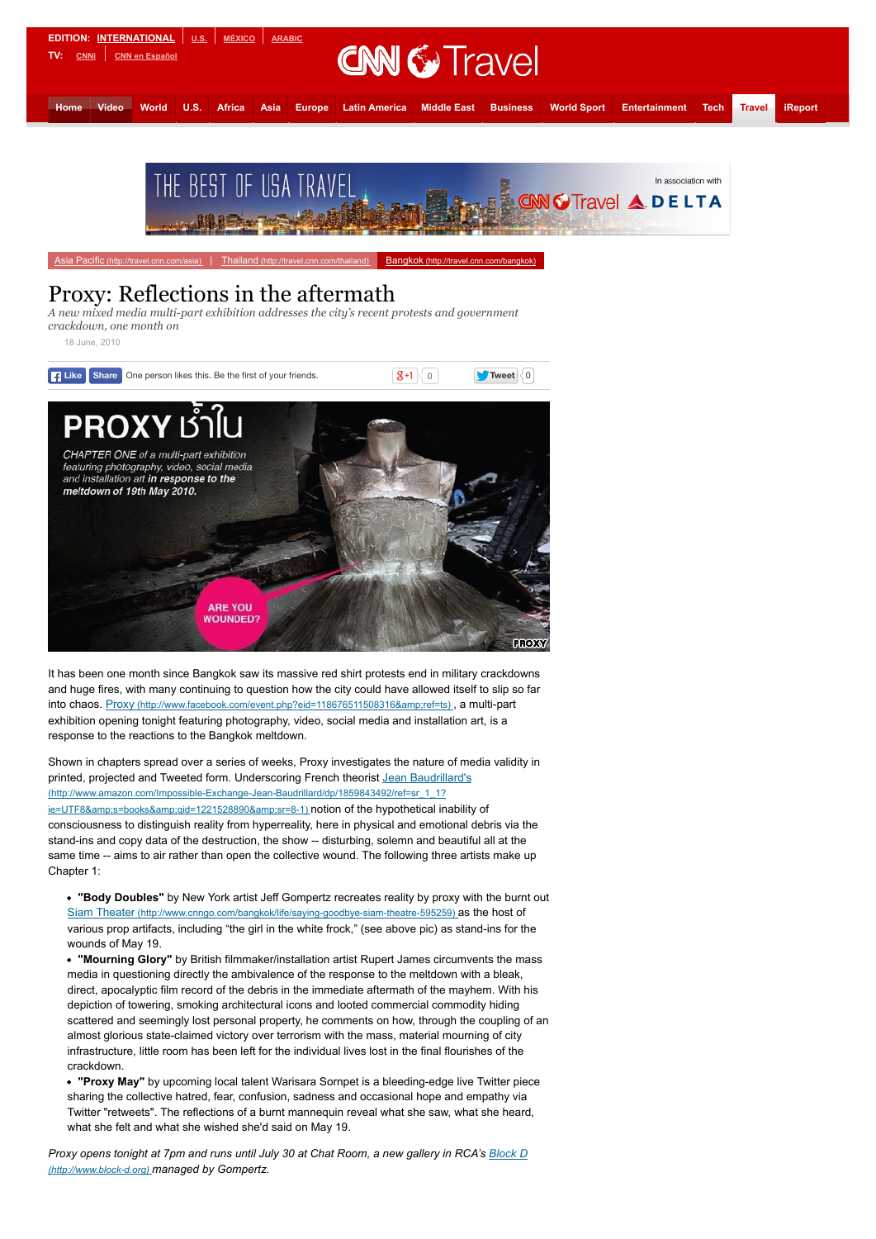

## Proxy: Reflections in the aftermath

*A new mixed media multi-part exhibition addresses the city's recent protests and government crackdown, one month on*

18 June, 2010



It has been one month since Bangkok saw its massive red shirt protests end in military crackdowns and huge fires, with many continuing to question how the city could have allowed itself to slip so far into chaos. Proxy (http://www.facebook.com/event.php?eid=118676511508316&ref=ts), a multi-part exhibition opening tonight featuring photography, video, social media and installation art, is a response to the reactions to the Bangkok meltdown.

Shown in chapters spread over a series of weeks, Proxy investigates the nature of media validity in printed, projected and Tweeted form. Underscoring French theorist Jean Baudrillard's (http://www.amazon.com/Impossible-Exchange-Jean-Baudrillard/dp/1859843492/ref=sr\_1\_1? ie=UTF8&amp:s=books&amp:qid=1221528890&amp:sr=8-1) notion of the hypothetical inability of consciousness to distinguish reality from hyperreality, here in physical and emotional debris via the stand-ins and copy data of the destruction, the show -- disturbing, solemn and beautiful all at the same time -- aims to air rather than open the collective wound. The following three artists make up Chapter 1:

**"Body Doubles"** by New York artist Jeff Gompertz recreates reality by proxy with the burnt out [Siam Theater \(http://www.cnngo.com/bangkok/life/saying-goodbye-siam-theatre-595259\) a](http://www.cnngo.com/bangkok/life/saying-goodbye-siam-theatre-595259)s the host of various prop artifacts, including "the girl in the white frock," (see above pic) as stand-ins for the wounds of May 19.

**"Mourning Glory"** by British filmmaker/installation artist Rupert James circumvents the mass media in questioning directly the ambivalence of the response to the meltdown with a bleak, direct, apocalyptic film record of the debris in the immediate aftermath of the mayhem. With his depiction of towering, smoking architectural icons and looted commercial commodity hiding scattered and seemingly lost personal property, he comments on how, through the coupling of an almost glorious state-claimed victory over terrorism with the mass, material mourning of city infrastructure, little room has been left for the individual lives lost in the final flourishes of the crackdown.

**"Proxy May"** by upcoming local talent Warisara Sornpet is a bleeding-edge live Twitter piece sharing the collective hatred, fear, confusion, sadness and occasional hope and empathy via Twitter "retweets". The reflections of a burnt mannequin reveal what she saw, what she heard, what she felt and what she wished she'd said on May 19.

*[Proxy opens tonight at 7pm and runs until July 30 at Chat Room, a new gallery in RCA's Block D](http://www.block-d.org/) (http://www.block-d.org) managed by Gompertz.*